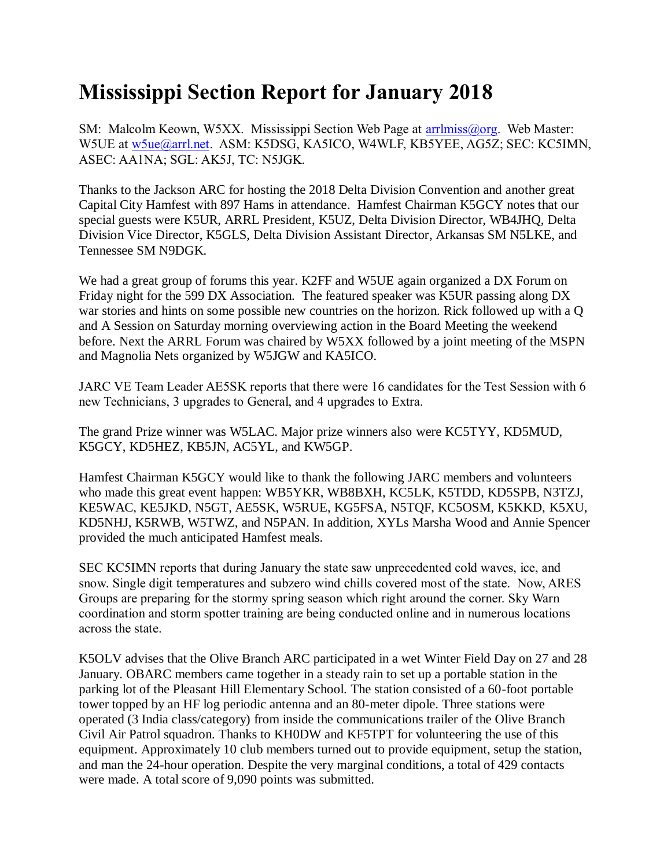## **Mississippi Section Report for January 2018**

SM: Malcolm Keown, W5XX. Mississippi Section Web Page at [arrlmiss@org.](mailto:arrlmiss@org) Web Master: W5UE at [w5ue@arrl.net.](mailto:w5ue@arrl.net) ASM: K5DSG, KA5ICO, W4WLF, KB5YEE, AG5Z; SEC: KC5IMN, ASEC: AA1NA; SGL: AK5J, TC: N5JGK.

Thanks to the Jackson ARC for hosting the 2018 Delta Division Convention and another great Capital City Hamfest with 897 Hams in attendance. Hamfest Chairman K5GCY notes that our special guests were K5UR, ARRL President, K5UZ, Delta Division Director, WB4JHQ, Delta Division Vice Director, K5GLS, Delta Division Assistant Director, Arkansas SM N5LKE, and Tennessee SM N9DGK.

We had a great group of forums this year. K2FF and W5UE again organized a DX Forum on Friday night for the 599 DX Association. The featured speaker was K5UR passing along DX war stories and hints on some possible new countries on the horizon. Rick followed up with a Q and A Session on Saturday morning overviewing action in the Board Meeting the weekend before. Next the ARRL Forum was chaired by W5XX followed by a joint meeting of the MSPN and Magnolia Nets organized by W5JGW and KA5ICO.

JARC VE Team Leader AE5SK reports that there were 16 candidates for the Test Session with 6 new Technicians, 3 upgrades to General, and 4 upgrades to Extra.

The grand Prize winner was W5LAC. Major prize winners also were KC5TYY, KD5MUD, K5GCY, KD5HEZ, KB5JN, AC5YL, and KW5GP.

Hamfest Chairman K5GCY would like to thank the following JARC members and volunteers who made this great event happen: WB5YKR, WB8BXH, KC5LK, K5TDD, KD5SPB, N3TZJ, KE5WAC, KE5JKD, N5GT, AE5SK, W5RUE, KG5FSA, N5TQF, KC5OSM, K5KKD, K5XU, KD5NHJ, K5RWB, W5TWZ, and N5PAN. In addition, XYLs Marsha Wood and Annie Spencer provided the much anticipated Hamfest meals.

SEC KC5IMN reports that during January the state saw unprecedented cold waves, ice, and snow. Single digit temperatures and subzero wind chills covered most of the state. Now, ARES Groups are preparing for the stormy spring season which right around the corner. Sky Warn coordination and storm spotter training are being conducted online and in numerous locations across the state.

K5OLV advises that the Olive Branch ARC participated in a wet Winter Field Day on 27 and 28 January. OBARC members came together in a steady rain to set up a portable station in the parking lot of the Pleasant Hill Elementary School. The station consisted of a 60-foot portable tower topped by an HF log periodic antenna and an 80-meter dipole. Three stations were operated (3 India class/category) from inside the communications trailer of the Olive Branch Civil Air Patrol squadron. Thanks to KH0DW and KF5TPT for volunteering the use of this equipment. Approximately 10 club members turned out to provide equipment, setup the station, and man the 24-hour operation. Despite the very marginal conditions, a total of 429 contacts were made. A total score of 9,090 points was submitted.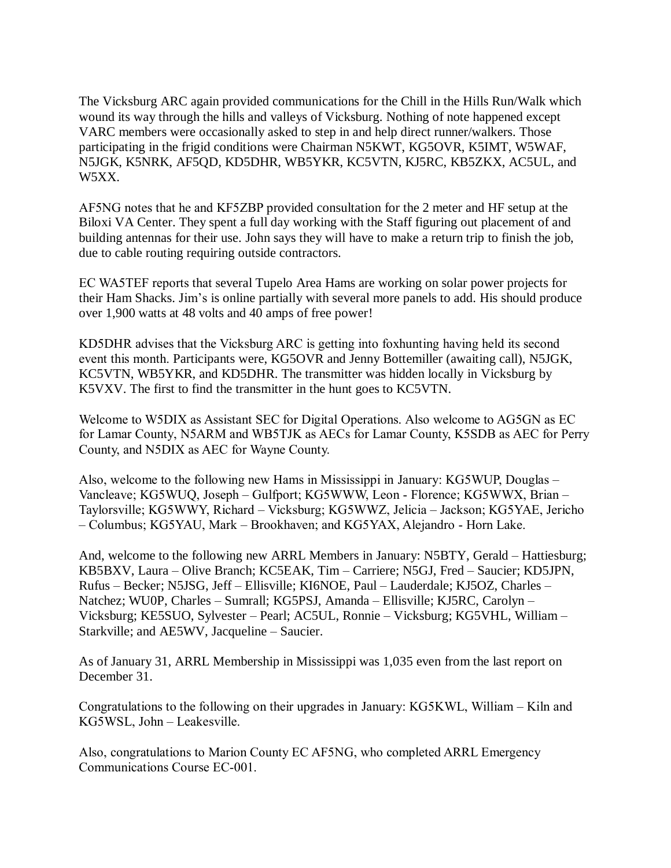The Vicksburg ARC again provided communications for the Chill in the Hills Run/Walk which wound its way through the hills and valleys of Vicksburg. Nothing of note happened except VARC members were occasionally asked to step in and help direct runner/walkers. Those participating in the frigid conditions were Chairman N5KWT, KG5OVR, K5IMT, W5WAF, N5JGK, K5NRK, AF5QD, KD5DHR, WB5YKR, KC5VTN, KJ5RC, KB5ZKX, AC5UL, and W5XX.

AF5NG notes that he and KF5ZBP provided consultation for the 2 meter and HF setup at the Biloxi VA Center. They spent a full day working with the Staff figuring out placement of and building antennas for their use. John says they will have to make a return trip to finish the job, due to cable routing requiring outside contractors.

EC WA5TEF reports that several Tupelo Area Hams are working on solar power projects for their Ham Shacks. Jim's is online partially with several more panels to add. His should produce over 1,900 watts at 48 volts and 40 amps of free power!

KD5DHR advises that the Vicksburg ARC is getting into foxhunting having held its second event this month. Participants were, KG5OVR and Jenny Bottemiller (awaiting call), N5JGK, KC5VTN, WB5YKR, and KD5DHR. The transmitter was hidden locally in Vicksburg by K5VXV. The first to find the transmitter in the hunt goes to KC5VTN.

Welcome to W5DIX as Assistant SEC for Digital Operations. Also welcome to AG5GN as EC for Lamar County, N5ARM and WB5TJK as AECs for Lamar County, K5SDB as AEC for Perry County, and N5DIX as AEC for Wayne County.

Also, welcome to the following new Hams in Mississippi in January: KG5WUP, Douglas – Vancleave; KG5WUQ, Joseph – Gulfport; KG5WWW, Leon - Florence; KG5WWX, Brian – Taylorsville; KG5WWY, Richard – Vicksburg; KG5WWZ, Jelicia – Jackson; KG5YAE, Jericho – Columbus; KG5YAU, Mark – Brookhaven; and KG5YAX, Alejandro - Horn Lake.

And, welcome to the following new ARRL Members in January: N5BTY, Gerald – Hattiesburg; KB5BXV, Laura – Olive Branch; KC5EAK, Tim – Carriere; N5GJ, Fred – Saucier; KD5JPN, Rufus – Becker; N5JSG, Jeff – Ellisville; KI6NOE, Paul – Lauderdale; KJ5OZ, Charles – Natchez; WU0P, Charles – Sumrall; KG5PSJ, Amanda – Ellisville; KJ5RC, Carolyn – Vicksburg; KE5SUO, Sylvester – Pearl; AC5UL, Ronnie – Vicksburg; KG5VHL, William – Starkville; and AE5WV, Jacqueline – Saucier.

As of January 31, ARRL Membership in Mississippi was 1,035 even from the last report on December 31.

Congratulations to the following on their upgrades in January: KG5KWL, William – Kiln and KG5WSL, John – Leakesville.

Also, congratulations to Marion County EC AF5NG, who completed ARRL Emergency Communications Course EC-001.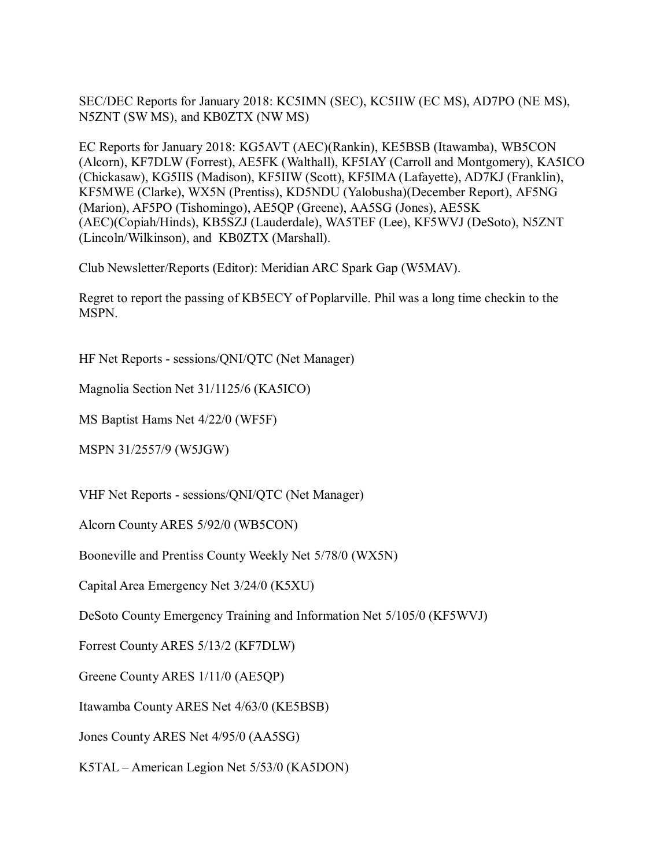SEC/DEC Reports for January 2018: KC5IMN (SEC), KC5IIW (EC MS), AD7PO (NE MS), N5ZNT (SW MS), and KB0ZTX (NW MS)

EC Reports for January 2018: KG5AVT (AEC)(Rankin), KE5BSB (Itawamba), WB5CON (Alcorn), KF7DLW (Forrest), AE5FK (Walthall), KF5IAY (Carroll and Montgomery), KA5ICO (Chickasaw), KG5IIS (Madison), KF5IIW (Scott), KF5IMA (Lafayette), AD7KJ (Franklin), KF5MWE (Clarke), WX5N (Prentiss), KD5NDU (Yalobusha)(December Report), AF5NG (Marion), AF5PO (Tishomingo), AE5QP (Greene), AA5SG (Jones), AE5SK (AEC)(Copiah/Hinds), KB5SZJ (Lauderdale), WA5TEF (Lee), KF5WVJ (DeSoto), N5ZNT (Lincoln/Wilkinson), and KB0ZTX (Marshall).

Club Newsletter/Reports (Editor): Meridian ARC Spark Gap (W5MAV).

Regret to report the passing of KB5ECY of Poplarville. Phil was a long time checkin to the MSPN.

HF Net Reports - sessions/QNI/QTC (Net Manager)

Magnolia Section Net 31/1125/6 (KA5ICO)

MS Baptist Hams Net 4/22/0 (WF5F)

MSPN 31/2557/9 (W5JGW)

VHF Net Reports - sessions/QNI/QTC (Net Manager)

Alcorn County ARES 5/92/0 (WB5CON)

Booneville and Prentiss County Weekly Net 5/78/0 (WX5N)

Capital Area Emergency Net 3/24/0 (K5XU)

DeSoto County Emergency Training and Information Net 5/105/0 (KF5WVJ)

Forrest County ARES 5/13/2 (KF7DLW)

Greene County ARES 1/11/0 (AE5QP)

Itawamba County ARES Net 4/63/0 (KE5BSB)

Jones County ARES Net 4/95/0 (AA5SG)

K5TAL – American Legion Net 5/53/0 (KA5DON)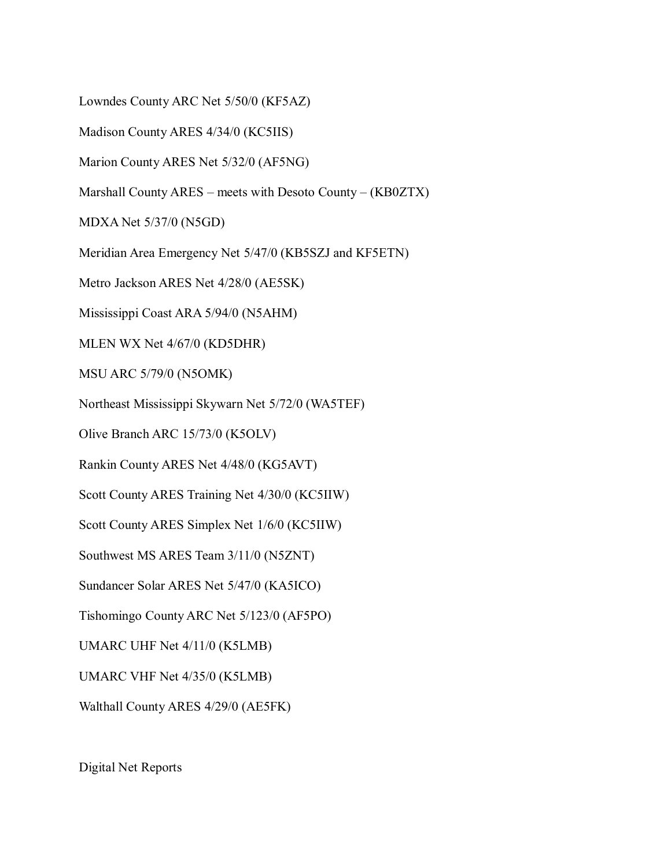Lowndes County ARC Net 5/50/0 (KF5AZ)

Madison County ARES 4/34/0 (KC5IIS)

Marion County ARES Net 5/32/0 (AF5NG)

Marshall County ARES – meets with Desoto County – (KB0ZTX)

MDXA Net 5/37/0 (N5GD)

Meridian Area Emergency Net 5/47/0 (KB5SZJ and KF5ETN)

Metro Jackson ARES Net 4/28/0 (AE5SK)

Mississippi Coast ARA 5/94/0 (N5AHM)

MLEN WX Net 4/67/0 (KD5DHR)

MSU ARC 5/79/0 (N5OMK)

Northeast Mississippi Skywarn Net 5/72/0 (WA5TEF)

Olive Branch ARC 15/73/0 (K5OLV)

Rankin County ARES Net 4/48/0 (KG5AVT)

Scott County ARES Training Net 4/30/0 (KC5IIW)

Scott County ARES Simplex Net 1/6/0 (KC5IIW)

Southwest MS ARES Team 3/11/0 (N5ZNT)

Sundancer Solar ARES Net 5/47/0 (KA5ICO)

Tishomingo County ARC Net 5/123/0 (AF5PO)

UMARC UHF Net 4/11/0 (K5LMB)

UMARC VHF Net 4/35/0 (K5LMB)

Walthall County ARES 4/29/0 (AE5FK)

Digital Net Reports